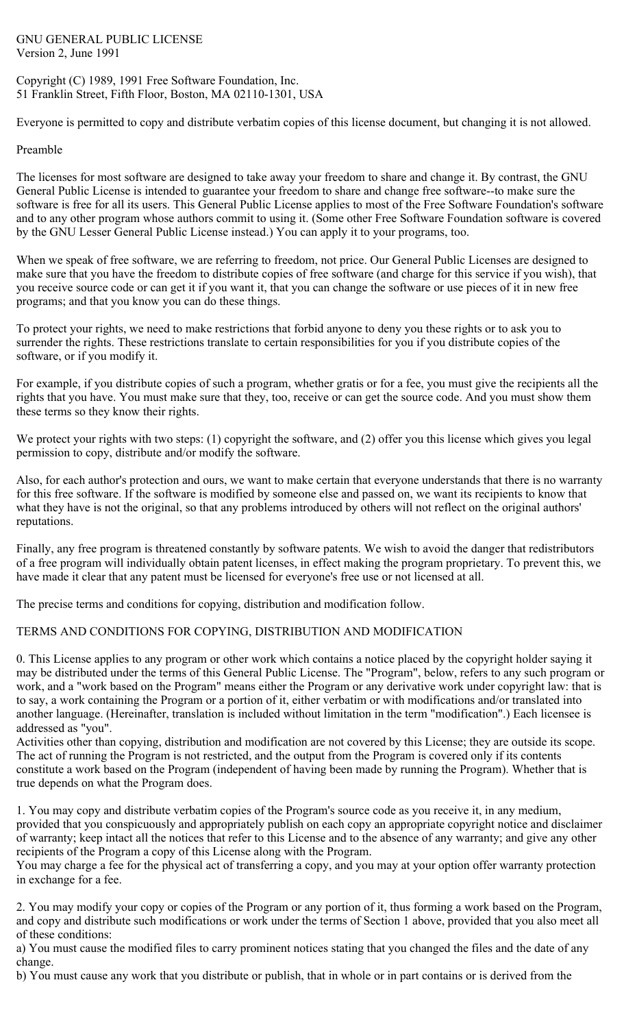GNU GENERAL PUBLIC LICENSE Version 2, June 1991

Copyright (C) 1989, 1991 Free Software Foundation, Inc. 51 Franklin Street, Fifth Floor, Boston, MA 02110-1301, USA

Everyone is permitted to copy and distribute verbatim copies of this license document, but changing it is not allowed.

## Preamble

The licenses for most software are designed to take away your freedom to share and change it. By contrast, the GNU General Public License is intended to guarantee your freedom to share and change free software--to make sure the software is free for all its users. This General Public License applies to most of the Free Software Foundation's software and to any other program whose authors commit to using it. (Some other Free Software Foundation software is covered by the GNU Lesser General Public License instead.) You can apply it to your programs, too.

When we speak of free software, we are referring to freedom, not price. Our General Public Licenses are designed to make sure that you have the freedom to distribute copies of free software (and charge for this service if you wish), that you receive source code or can get it if you want it, that you can change the software or use pieces of it in new free programs; and that you know you can do these things.

To protect your rights, we need to make restrictions that forbid anyone to deny you these rights or to ask you to surrender the rights. These restrictions translate to certain responsibilities for you if you distribute copies of the software, or if you modify it.

For example, if you distribute copies of such a program, whether gratis or for a fee, you must give the recipients all the rights that you have. You must make sure that they, too, receive or can get the source code. And you must show them these terms so they know their rights.

We protect your rights with two steps: (1) copyright the software, and (2) offer you this license which gives you legal permission to copy, distribute and/or modify the software.

Also, for each author's protection and ours, we want to make certain that everyone understands that there is no warranty for this free software. If the software is modified by someone else and passed on, we want its recipients to know that what they have is not the original, so that any problems introduced by others will not reflect on the original authors' reputations.

Finally, any free program is threatened constantly by software patents. We wish to avoid the danger that redistributors of a free program will individually obtain patent licenses, in effect making the program proprietary. To prevent this, we have made it clear that any patent must be licensed for everyone's free use or not licensed at all.

The precise terms and conditions for copying, distribution and modification follow.

## TERMS AND CONDITIONS FOR COPYING, DISTRIBUTION AND MODIFICATION

0. This License applies to any program or other work which contains a notice placed by the copyright holder saying it may be distributed under the terms of this General Public License. The "Program", below, refers to any such program or work, and a "work based on the Program" means either the Program or any derivative work under copyright law: that is to say, a work containing the Program or a portion of it, either verbatim or with modifications and/or translated into another language. (Hereinafter, translation is included without limitation in the term "modification".) Each licensee is addressed as "you".

Activities other than copying, distribution and modification are not covered by this License; they are outside its scope. The act of running the Program is not restricted, and the output from the Program is covered only if its contents constitute a work based on the Program (independent of having been made by running the Program). Whether that is true depends on what the Program does.

1. You may copy and distribute verbatim copies of the Program's source code as you receive it, in any medium, provided that you conspicuously and appropriately publish on each copy an appropriate copyright notice and disclaimer of warranty; keep intact all the notices that refer to this License and to the absence of any warranty; and give any other recipients of the Program a copy of this License along with the Program.

You may charge a fee for the physical act of transferring a copy, and you may at your option offer warranty protection in exchange for a fee.

2. You may modify your copy or copies of the Program or any portion of it, thus forming a work based on the Program, and copy and distribute such modifications or work under the terms of Section 1 above, provided that you also meet all of these conditions:

a) You must cause the modified files to carry prominent notices stating that you changed the files and the date of any change.

b) You must cause any work that you distribute or publish, that in whole or in part contains or is derived from the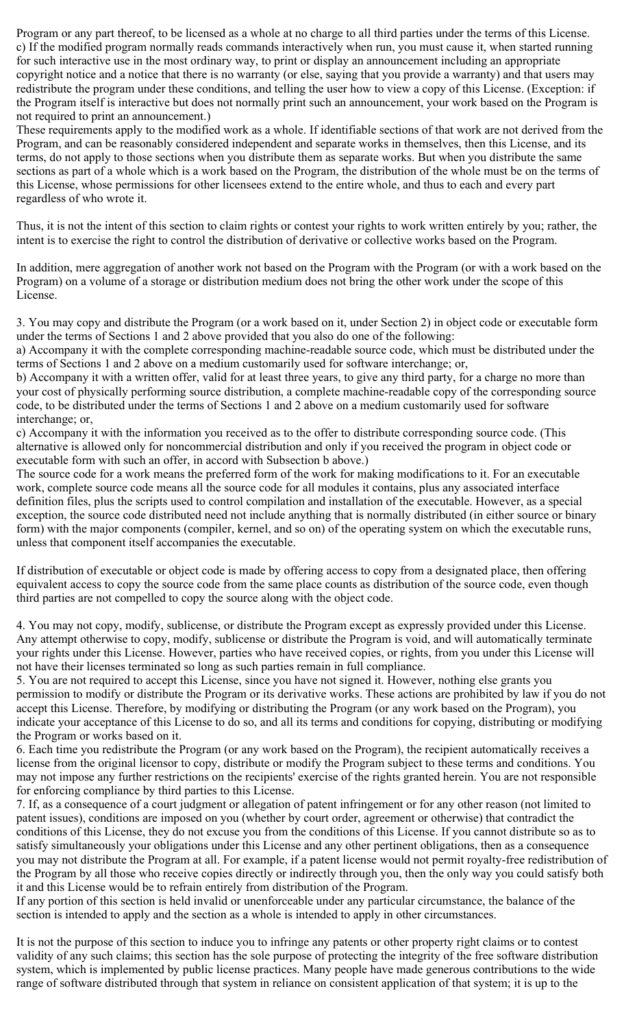Program or any part thereof, to be licensed as a whole at no charge to all third parties under the terms of this License. c) If the modified program normally reads commands interactively when run, you must cause it, when started running for such interactive use in the most ordinary way, to print or display an announcement including an appropriate copyright notice and a notice that there is no warranty (or else, saying that you provide a warranty) and that users may redistribute the program under these conditions, and telling the user how to view a copy of this License. (Exception: if the Program itself is interactive but does not normally print such an announcement, your work based on the Program is not required to print an announcement.)

These requirements apply to the modified work as a whole. If identifiable sections of that work are not derived from the Program, and can be reasonably considered independent and separate works in themselves, then this License, and its terms, do not apply to those sections when you distribute them as separate works. But when you distribute the same sections as part of a whole which is a work based on the Program, the distribution of the whole must be on the terms of this License, whose permissions for other licensees extend to the entire whole, and thus to each and every part regardless of who wrote it.

Thus, it is not the intent of this section to claim rights or contest your rights to work written entirely by you; rather, the intent is to exercise the right to control the distribution of derivative or collective works based on the Program.

In addition, mere aggregation of another work not based on the Program with the Program (or with a work based on the Program) on a volume of a storage or distribution medium does not bring the other work under the scope of this License.

3. You may copy and distribute the Program (or a work based on it, under Section 2) in object code or executable form under the terms of Sections 1 and 2 above provided that you also do one of the following:

a) Accompany it with the complete corresponding machine-readable source code, which must be distributed under the terms of Sections 1 and 2 above on a medium customarily used for software interchange; or,

b) Accompany it with a written offer, valid for at least three years, to give any third party, for a charge no more than your cost of physically performing source distribution, a complete machine-readable copy of the corresponding source code, to be distributed under the terms of Sections 1 and 2 above on a medium customarily used for software interchange; or,

c) Accompany it with the information you received as to the offer to distribute corresponding source code. (This alternative is allowed only for noncommercial distribution and only if you received the program in object code or executable form with such an offer, in accord with Subsection b above.)

The source code for a work means the preferred form of the work for making modifications to it. For an executable work, complete source code means all the source code for all modules it contains, plus any associated interface definition files, plus the scripts used to control compilation and installation of the executable. However, as a special exception, the source code distributed need not include anything that is normally distributed (in either source or binary form) with the major components (compiler, kernel, and so on) of the operating system on which the executable runs, unless that component itself accompanies the executable.

If distribution of executable or object code is made by offering access to copy from a designated place, then offering equivalent access to copy the source code from the same place counts as distribution of the source code, even though third parties are not compelled to copy the source along with the object code.

4. You may not copy, modify, sublicense, or distribute the Program except as expressly provided under this License. Any attempt otherwise to copy, modify, sublicense or distribute the Program is void, and will automatically terminate your rights under this License. However, parties who have received copies, or rights, from you under this License will not have their licenses terminated so long as such parties remain in full compliance.

5. You are not required to accept this License, since you have not signed it. However, nothing else grants you permission to modify or distribute the Program or its derivative works. These actions are prohibited by law if you do not accept this License. Therefore, by modifying or distributing the Program (or any work based on the Program), you indicate your acceptance of this License to do so, and all its terms and conditions for copying, distributing or modifying the Program or works based on it.

6. Each time you redistribute the Program (or any work based on the Program), the recipient automatically receives a license from the original licensor to copy, distribute or modify the Program subject to these terms and conditions. You may not impose any further restrictions on the recipients' exercise of the rights granted herein. You are not responsible for enforcing compliance by third parties to this License.

7. If, as a consequence of a court judgment or allegation of patent infringement or for any other reason (not limited to patent issues), conditions are imposed on you (whether by court order, agreement or otherwise) that contradict the conditions of this License, they do not excuse you from the conditions of this License. If you cannot distribute so as to satisfy simultaneously your obligations under this License and any other pertinent obligations, then as a consequence you may not distribute the Program at all. For example, if a patent license would not permit royalty-free redistribution of the Program by all those who receive copies directly or indirectly through you, then the only way you could satisfy both it and this License would be to refrain entirely from distribution of the Program.

If any portion of this section is held invalid or unenforceable under any particular circumstance, the balance of the section is intended to apply and the section as a whole is intended to apply in other circumstances.

It is not the purpose of this section to induce you to infringe any patents or other property right claims or to contest validity of any such claims; this section has the sole purpose of protecting the integrity of the free software distribution system, which is implemented by public license practices. Many people have made generous contributions to the wide range of software distributed through that system in reliance on consistent application of that system; it is up to the